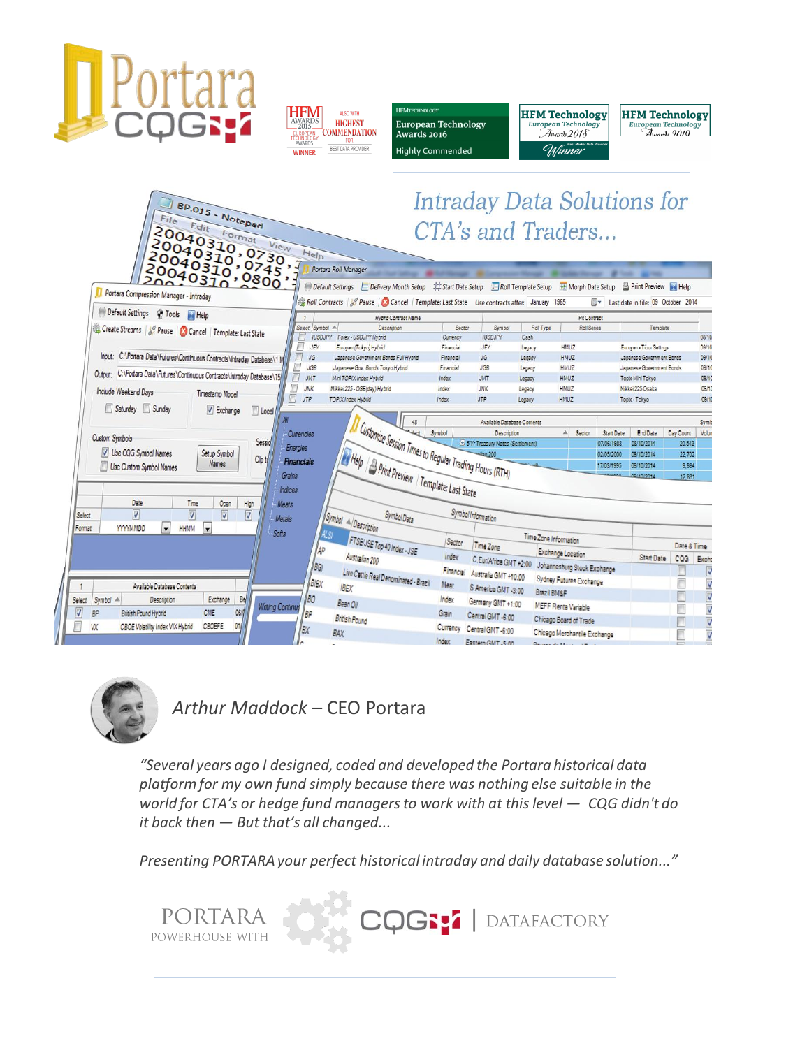



**MTECHNOLOGY** European Technology Awards  $2016$ **Highly Commended** 



#### **Intraday Data Solutions for** BP.015 - Notepad  $Fig.$ CTA's and Traders... 20040310<br>20040310<br>20040310  $Help$ 0040310 Portara Roll Manager Default Settings E Delivery Month Setup #\$tart Date Setup Roll Template Setup H Morph Date Setup B Print Preview **D** Portara Compression Manager - Intraday Roll Contracts | Pause | Concel | Template: Last State Use contracts after: January 1965 I Last date in file: 09 October 2014 Default Settings & Tools Help  $\overline{1}$ Hybrid Contract Name Pit Contract Create Streams | 8 Pause | Cancel | Template: Last State Select Symbol A Descriptio Sector Symbol Roll Type Roll Series Template IUSDJPY Forex - USDJPY Hybrid Currency 08/10 **IUSDJPY** Cash Euroyen - Tibor Settigs JEY Euroyen (Tokyo) Hybrid Financial JEY HMUZ 09/10 Legacy Input: C:\Portara Data\Futures\Continuous Contracts\Intraday Database\1 M Japanese Government Bonds Full Hybrid JG Financial JG. HMUZ 09/10 Legacy Japanese Government Bonds Financial JGB Japanese Gov. Bonds Tokyo Hybrid JGB HMUZ Japanese Government Bonds 09/10 Legacy l<br>D Output: C:\Portara Data\Futures\Continuous Contracts\Intraday Database\15 JMT Mini TOPIX Index Hybrid JMT HMUZ Topix Mini Tokyo 09/10 Index Legacy **JNK** Nikkei 225 - OSE(day) Hybrid **JNK** HMUZ Nikkei 225 Osaka 09/10 Index Legacy Include Weekend Days Timestamp Model  $\Box$  JTP TOPIX Index Hybrid **JTP** HMUZ Topix - Tokyo 09/10 Index Legacy Saturday Sunday D Exchange | Local Available Database Contents Available Data<br>
Else Session Times to Regular Trading Hours (RTH) 48 Symb A Sector Start Date Currencies Description End Date Day Coun Volu Custom Symbols E 5 Yr Treasury Notes (Settlement) Sessio 07/06/1988 08/10/2014 20,543 Energies V Use CQG Symbol Names Setup Symbol 09/10/2014 22,702 02/05/2000 Help Print Preview Template: Last State Clip to Financials Names Use Custom Symbol Names 9.664 Grains 12.831 Indices Date Time Open Meats High Symbol Information Symbol A Description  $\boxed{\mathbf{V}}$  $\sqrt{2}$  $\sqrt{2}$ Symbol Data Select  $\sqrt{2}$ Metals Format **YYYYMMDD**  $HHMM$  $\overline{\phantom{0}}$ Softs FTSE/JSE Top 40 Index - JSE Time Zone Information Sector Time Zone Date & Time 40 Exchange Location  $Index$ Australian 200 **Start Date** CQG Excha /BG Financial Australia GMT +10:00 Johannesburg Stock Exchange<br>Meat S. America GMT +10:00 Sydney Futures Exchange Live Cattle Real Denominated - Brazil V BIBX V Meat Available Database Contents IBEX S.America GMT -3:00 Brazil BM&F V Exchange BO Select Symbol A Description  $B<sub>0</sub>$ Index Germany GMT +1:00 Bean Oil MEFF Renta Variable **Writing Continu** V  $\sqrt{2}$ CME 06/ BP British Pound Hybrid lBP Grain Central GMT-6:00 **British Pound** Chicago Board of Trade V CBOEFE 01 W CBOE Volatility Index VIX Hybrid Currency Central GMT-6:00 BX BAX Chicago Merchantile Exchange V



*Arthur Maddock* – CEO Portara

*"Several years ago I designed, coded and developed the Portara historical data platform for my own fund simply because there was nothing else suitable in the world for CTA's or hedge fund managers to work with at this level — CQG didn't do it back then — But that's all changed...*

Index Eastern GMT .5-nn

*Presenting PORTARA your perfect historical intraday and daily database solution..."* 

PORTARA CQGS: I DATAFACTORY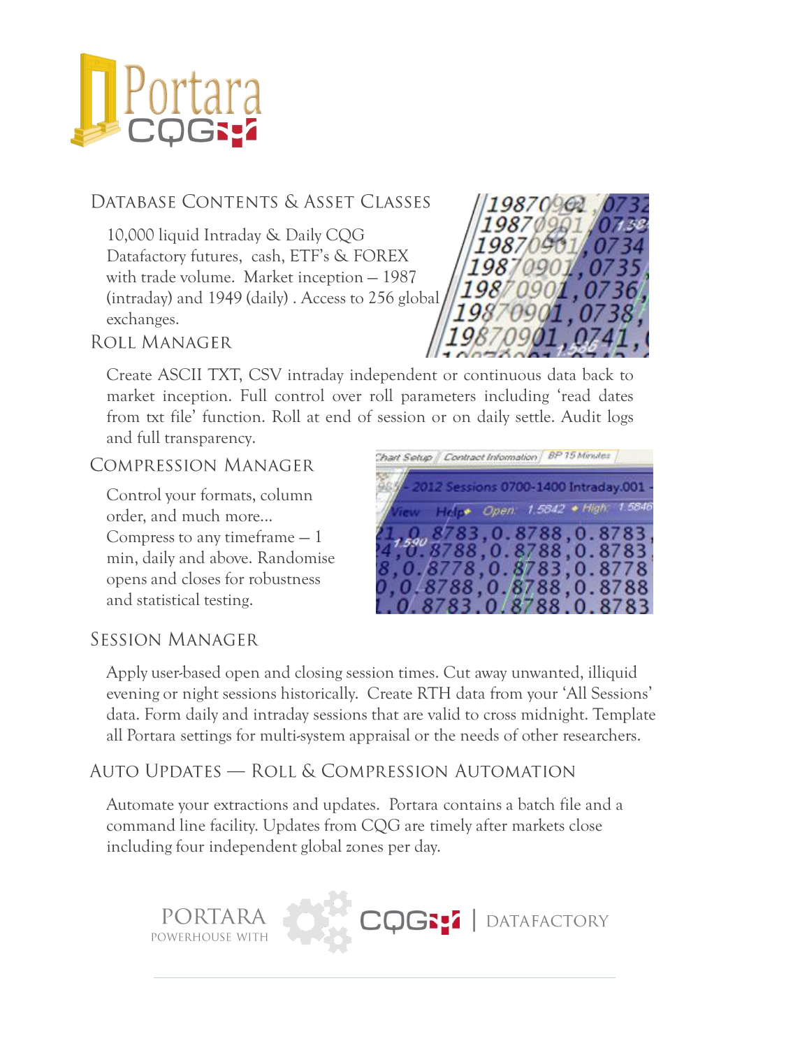

### DATABASE CONTENTS & ASSET CLASSES

10,000 liquid Intraday & Daily CQG Datafactory futures, cash, ETF's & FOREX with trade volume. Market inception — 1987 (intraday) and 1949 (daily) . Access to 256 global exchanges.



**ROLL MANAGER** 

Create ASCII TXT, CSV intraday independent or continuous data back to market inception. Full control over roll parameters including 'read dates from txt file' function. Roll at end of session or on daily settle. Audit logs and full transparency.

#### **COMPRESSION MANAGER**

Control your formats, column order, and much more... Compress to any timeframe — 1 min, daily and above. Randomise opens and closes for robustness and statistical testing.

**PORTARA** 

| Chart Setup   Contract Information   BP 15 Minutes |                                                                 |  |  |
|----------------------------------------------------|-----------------------------------------------------------------|--|--|
|                                                    | - 2012 Sessions 0700-1400 Intraday.001 -                        |  |  |
|                                                    | View Holly Open: 1,5842 . High: 1,5846                          |  |  |
|                                                    | $\frac{21}{4}, \frac{0}{6}, \frac{8783}{8788}, 0.8788, 0.8783,$ |  |  |
|                                                    | 8, 0.8778, 0.8783, 0.8778                                       |  |  |
|                                                    | 0,0.8788,0.8788,0.8788                                          |  |  |
|                                                    | 0.8783.0.8788.0.8783                                            |  |  |

CQGSS | DATAFACTORY

#### SESSION MANAGER

Apply user-based open and closing session times. Cut away unwanted, illiquid evening or night sessions historically. Create RTH data from your 'All Sessions' data. Form daily and intraday sessions that are valid to cross midnight. Template all Portara settings for multi-system appraisal or the needs of other researchers.

#### Auto Updates — Roll & Compression Automation

Automate your extractions and updates. Portara contains a batch file and a command line facility. Updates from CQG are timely after markets close including four independent global zones per day.